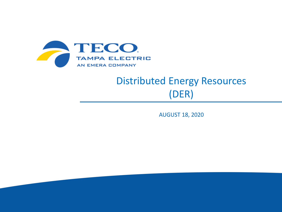

# Distributed Energy Resources (DER)

AUGUST 18, 2020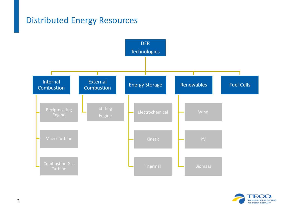### Distributed Energy Resources



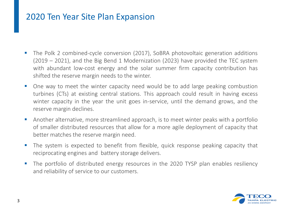### 2020 Ten Year Site Plan Expansion

- The Polk 2 combined-cycle conversion (2017), SoBRA photovoltaic generation additions (2019 – 2021), and the Big Bend 1 Modernization (2023) have provided the TEC system with abundant low-cost energy and the solar summer firm capacity contribution has shifted the reserve margin needs to the winter.
- One way to meet the winter capacity need would be to add large peaking combustion turbines (CTs) at existing central stations. This approach could result in having excess winter capacity in the year the unit goes in-service, until the demand grows, and the reserve margin declines.
- Another alternative, more streamlined approach, is to meet winter peaks with a portfolio of smaller distributed resources that allow for a more agile deployment of capacity that better matches the reserve margin need.
- The system is expected to benefit from flexible, quick response peaking capacity that reciprocating engines and battery storage delivers.
- The portfolio of distributed energy resources in the 2020 TYSP plan enables resiliency and reliability of service to our customers.

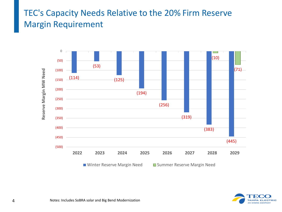## TEC's Capacity Needs Relative to the 20% Firm Reserve Margin Requirement



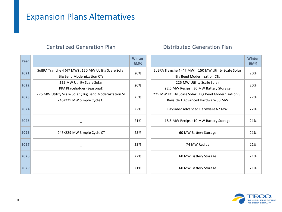### Expansion Plans Alternatives

### Centralized Generation Plan Distributed Generation Plan

| Year |                                                       | <b>Winter</b><br>RM% |                                                       | Winte<br>RM% |
|------|-------------------------------------------------------|----------------------|-------------------------------------------------------|--------------|
| 2021 | SoBRA Tranche 4 (47 MW) ; 150 MW Utility Scale Solar  | 20%                  | SoBRA Tranche 4 (47 MW) ; 150 MW Utility Scale Solar  | 20%          |
|      | Big Bend Modernization CTs                            |                      | Big Bend Modernization CTs                            |              |
| 2022 | 225 MW Utility Scale Solar                            | 20%                  | 225 MW Utility Scale Solar                            | 20%          |
|      | PPA Placeholder (Seasonal)                            |                      | 92.5 MW Recips; 30 MW Battery Storage                 |              |
| 2023 | 225 MW Utility Scale Solar; Big Bend Modernization ST | 25%                  | 225 MW Utility Scale Solar; Big Bend Modernization ST | 22%          |
|      | 245/229 MW Simple Cycle CT                            |                      | Bayside 1 Advanced Hardware 50 MW                     |              |
| 2024 |                                                       | 22%                  | Bayside2 Advanced Hardware 67 MW                      | 22%          |
| 2025 |                                                       | 21%                  | 18.5 MW Recips; 10 MW Battery Storage                 | 21%          |
| 2026 | 245/229 MW Simple Cycle CT                            | 25%                  | 60 MW Battery Storage                                 | 21%          |
| 2027 |                                                       | 23%                  | 74 MW Recips                                          | 21%          |
| 2028 |                                                       | 22%                  | 60 MW Battery Storage                                 | 21%          |
| 2029 |                                                       | 21%                  | 60 MW Battery Storage                                 | 21%          |

|                                                                                            | <b>Winter</b><br>RM% |
|--------------------------------------------------------------------------------------------|----------------------|
| SoBRA Tranche 4 (47 MW) ; 150 MW Utility Scale Solar<br>Big Bend Modernization CTs         | 20%                  |
| 225 MW Utility Scale Solar<br>92.5 MW Recips; 30 MW Battery Storage                        | 20%                  |
| 225 MW Utility Scale Solar; Big Bend Modernization ST<br>Bayside 1 Advanced Hardware 50 MW | 22%                  |
| Bayside2 Advanced Hardware 67 MW                                                           | 22%                  |
| 18.5 MW Recips; 10 MW Battery Storage                                                      | 21%                  |
| 60 MW Battery Storage                                                                      | 21%                  |
| 74 MW Recips                                                                               | 21%                  |
| 60 MW Battery Storage                                                                      | 21%                  |
| 60 MW Battery Storage                                                                      | 21%                  |

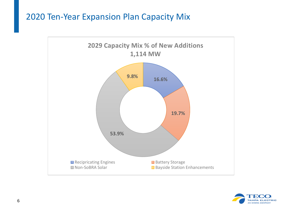### 2020 Ten-Year Expansion Plan Capacity Mix



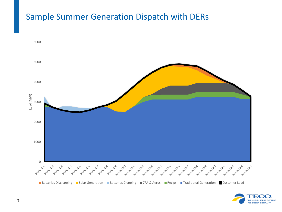### Sample Summer Generation Dispatch with DERs



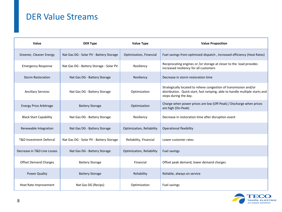### DER Value Streams

| Value                         | <b>DER Type</b>                         | <b>Value Type</b>         | <b>Value Proposition</b>                                                                                                                                                   |
|-------------------------------|-----------------------------------------|---------------------------|----------------------------------------------------------------------------------------------------------------------------------------------------------------------------|
| Greener, Cleaner Energy       | Nat Gas DG - Solar PV - Battery Storage | Optimization, Financial   | Fuel savings from optimized dispatch, increased efficiency (Heat Rates)                                                                                                    |
| <b>Emergency Response</b>     | Nat Gas DG - Battery Storage - Solar PV | Resiliency                | Reciprocating engines or /or storage at closer to the load provides<br>increased resiliency for all customers                                                              |
| <b>Storm Restoration</b>      | Nat Gas DG - Battery Storage            | Resiliency                | Decrease in storm restoration time                                                                                                                                         |
| <b>Ancillary Services</b>     | Nat Gas DG - Battery Storage            | Optimization              | Strategically located to relieve congestion of transmission and/or<br>distribution. Quick start, fast ramping, able to handle multiple starts and<br>stops during the day. |
| <b>Energy Price Arbitrage</b> | <b>Battery Storage</b>                  | Optimization              | Charge when power prices are low (Off-Peak) / Discharge when prices<br>are high (On-Peak)                                                                                  |
| <b>Black Start Capability</b> | Nat Gas DG - Battery Storage            | Resiliency                | Decrease in restoration time after disruption event                                                                                                                        |
| Renewable Integration         | Nat Gas DG - Battery Storage            | Optimization, Reliability | <b>Operational flexibility</b>                                                                                                                                             |
| T&D Investment Deferral       | Nat Gas DG - Solar PV - Battery Storage | Reliability, Financial    | Lower customer rates                                                                                                                                                       |
| Decrease in T&D Line Losses   | Nat Gas DG - Battery Storage            | Optimization, Reliability | Fuel savings                                                                                                                                                               |
| <b>Offset Demand Charges</b>  | <b>Battery Storage</b>                  | Financial                 | Offset peak demand, lower demand charges                                                                                                                                   |
| <b>Power Quality</b>          | <b>Battery Storage</b>                  | Reliability               | Reliable, always on service                                                                                                                                                |
| Heat Rate Improvement         | Nat Gas DG (Recips)                     | Optimization              | Fuel savings                                                                                                                                                               |